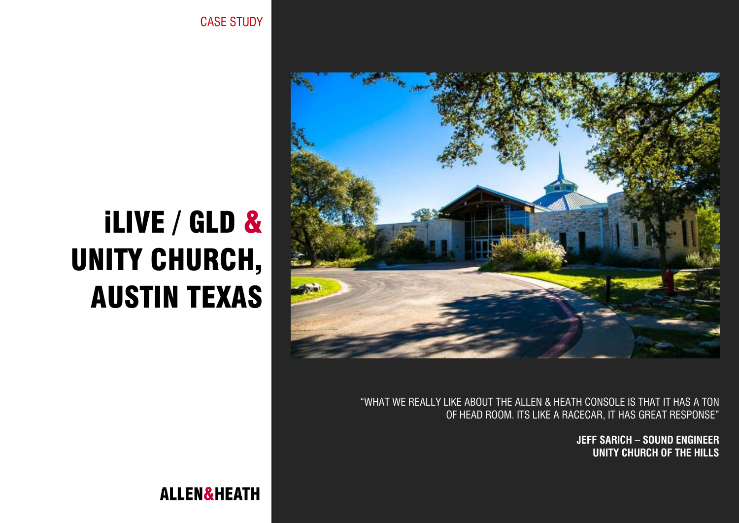

"WHAT WE REALLY LIKE ABOUT THE ALLEN & HEATH CONSOLE IS THAT IT HAS A TON OF HEAD ROOM. ITS LIKE A RACECAR, IT HAS GREAT RESPONSE"

> **JEFF SARICH – SOUND ENGINEER UNITY CHURCH OF THE HILLS**

# iLIVE / GLD & UNITY CHURCH, AUSTIN TEXAS

**ALLEN&HEATH** 

CASE STUDY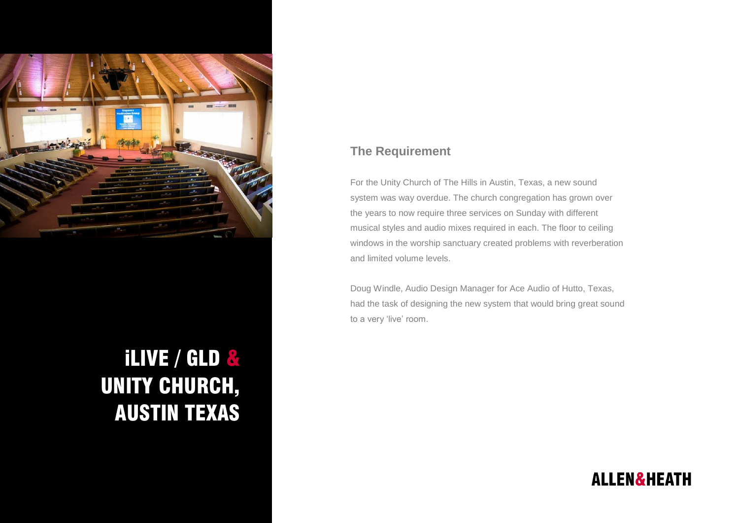

# iLIVE / GLD & UNITY CHURCH, AUSTIN TEXAS

#### **The Requirement**

For the Unity Church of The Hills in Austin, Texas, a new sound system was way overdue. The church congregation has grown over the years to now require three services on Sunday with different musical styles and audio mixes required in each. The floor to ceiling windows in the worship sanctuary created problems with reverberation and limited volume levels.

Doug Windle, Audio Design Manager for Ace Audio of Hutto, Texas, had the task of designing the new system that would bring great sound to a very 'live' room.

## **ALLEN&HEATH**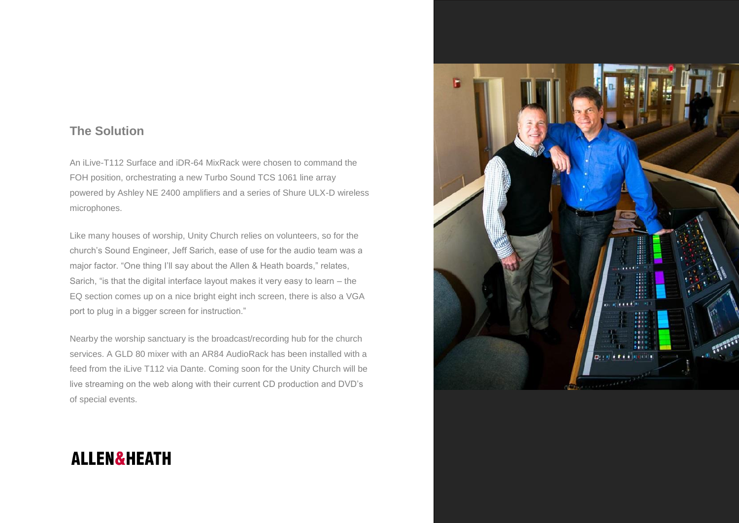#### **The Solution**

An iLive-T112 Surface and iDR-64 MixRack were chosen to command the FOH position, orchestrating a new Turbo Sound TCS 1061 line array powered by Ashley NE 2400 amplifiers and a series of Shure ULX-D wireless microphones.

Like many houses of worship, Unity Church relies on volunteers, so for the church's Sound Engineer, Jeff Sarich, ease of use for the audio team was a major factor. "One thing I'll say about the Allen & Heath boards," relates, Sarich, "is that the digital interface layout makes it very easy to learn – the EQ section comes up on a nice bright eight inch screen, there is also a VGA port to plug in a bigger screen for instruction."

Nearby the worship sanctuary is the broadcast/recording hub for the church services. A GLD 80 mixer with an AR84 AudioRack has been installed with a feed from the iLive T112 via Dante. Coming soon for the Unity Church will be live streaming on the web along with their current CD production and DVD's of special events.



## **ALLEN&HEATH**